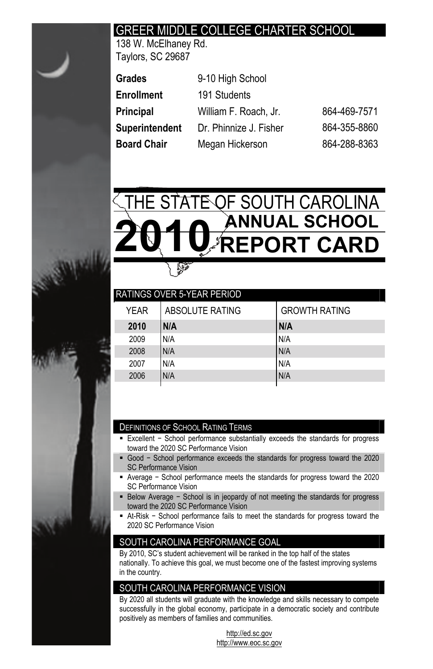# GREER MIDDLE COLLEGE CHARTER SCHOOL

138 W. McElhaney Rd. Taylors, SC 29687

| Grades         | 9-10 High School       |              |
|----------------|------------------------|--------------|
| Enrollment     | 191 Students           |              |
| Principal      | William F. Roach, Jr.  | 864-469-7571 |
| Superintendent | Dr. Phinnize J. Fisher | 864-355-8860 |
| Board Chair    | Megan Hickerson        | 864-288-8363 |



| ABSOLUTE RATING | <b>GROWTH RATING</b>              |
|-----------------|-----------------------------------|
| N/A             | N/A                               |
| N/A             | N/A                               |
| N/A             | N/A                               |
| N/A             | N/A                               |
| N/A             | N/A                               |
|                 | <b>RATINGS OVER 5-YEAR PERIOD</b> |

#### DEFINITIONS OF SCHOOL RATING TERMS

- Excellent School performance substantially exceeds the standards for progress toward the 2020 SC Performance Vision
- Good School performance exceeds the standards for progress toward the 2020 SC Performance Vision
- Average School performance meets the standards for progress toward the 2020 SC Performance Vision
- Below Average School is in jeopardy of not meeting the standards for progress toward the 2020 SC Performance Vision
- At-Risk School performance fails to meet the standards for progress toward the 2020 SC Performance Vision

## SOUTH CAROLINA PERFORMANCE GOAL

By 2010, SC's student achievement will be ranked in the top half of the states nationally. To achieve this goal, we must become one of the fastest improving systems in the country.

## SOUTH CAROLINA PERFORMANCE VISION

By 2020 all students will graduate with the knowledge and skills necessary to compete successfully in the global economy, participate in a democratic society and contribute positively as members of families and communities.

> http://ed.sc.gov http://www.eoc.sc.gov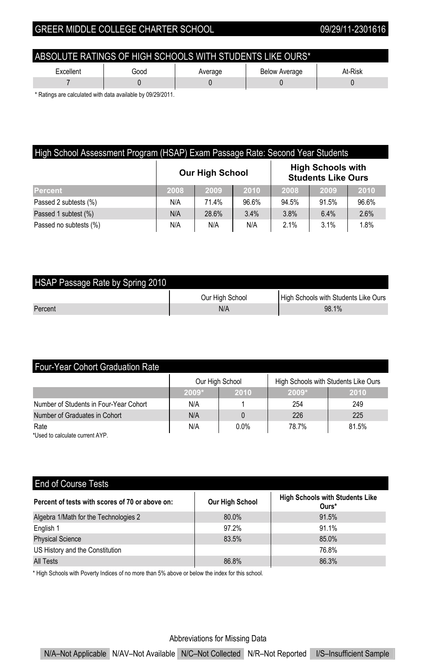| ABSOLUTE RATINGS OF HIGH SCHOOLS WITH STUDENTS LIKE OURS*       |  |  |  |  |  |  |
|-----------------------------------------------------------------|--|--|--|--|--|--|
| At-Risk<br>Excellent<br>Good<br><b>Below Average</b><br>Average |  |  |  |  |  |  |
|                                                                 |  |  |  |  |  |  |

\* Ratings are calculated with data available by 09/29/2011.

| High School Assessment Program (HSAP) Exam Passage Rate: Second Year Students |                                                                                 |       |       |       |       |       |  |  |
|-------------------------------------------------------------------------------|---------------------------------------------------------------------------------|-------|-------|-------|-------|-------|--|--|
|                                                                               | <b>High Schools with</b><br><b>Our High School</b><br><b>Students Like Ours</b> |       |       |       |       |       |  |  |
| Percent                                                                       | 2008                                                                            | 2009  | 2010  | 2008  | 2009  | 2010  |  |  |
| Passed 2 subtests (%)                                                         | N/A                                                                             | 71.4% | 96.6% | 94.5% | 91.5% | 96.6% |  |  |
| Passed 1 subtest (%)                                                          | N/A                                                                             | 28.6% | 3.4%  | 3.8%  | 6.4%  | 2.6%  |  |  |
| Passed no subtests (%)                                                        | N/A                                                                             | N/A   | N/A   | 2.1%  | 3.1%  | 1.8%  |  |  |

| HSAP Passage Rate by Spring 2010 |                 |                                      |
|----------------------------------|-----------------|--------------------------------------|
|                                  | Our High School | High Schools with Students Like Ours |
| Percent                          | N/A             | 98.1%                                |

| <b>Four-Year Cohort Graduation Rate</b> |         |                 |         |                                      |  |  |  |  |
|-----------------------------------------|---------|-----------------|---------|--------------------------------------|--|--|--|--|
|                                         |         | Our High School |         | High Schools with Students Like Ours |  |  |  |  |
|                                         | $2009*$ | 2010            | $2009*$ | 2010                                 |  |  |  |  |
| Number of Students in Four-Year Cohort  | N/A     |                 | 254     | 249                                  |  |  |  |  |
| Number of Graduates in Cohort           | N/A     |                 | 226     | 225                                  |  |  |  |  |
| Rate                                    | N/A     | 0.0%            | 78.7%   | 81.5%                                |  |  |  |  |
| *Used to calculate current AYP.         |         |                 |         |                                      |  |  |  |  |

| <b>End of Course Tests</b>                      |                        |                                                 |
|-------------------------------------------------|------------------------|-------------------------------------------------|
| Percent of tests with scores of 70 or above on: | <b>Our High School</b> | <b>High Schools with Students Like</b><br>Ours* |
| Algebra 1/Math for the Technologies 2           | 80.0%                  | 91.5%                                           |
| English 1                                       | 97.2%                  | 91.1%                                           |
| <b>Physical Science</b>                         | 83.5%                  | 85.0%                                           |
| US History and the Constitution                 |                        | 76.8%                                           |
| All Tests                                       | 86.8%                  | 86.3%                                           |

\* High Schools with Poverty Indices of no more than 5% above or below the index for this school.

Abbreviations for Missing Data

N/A–Not Applicable N/AV–Not Available N/C–Not Collected N/R–Not Reported I/S–Insufficient Sample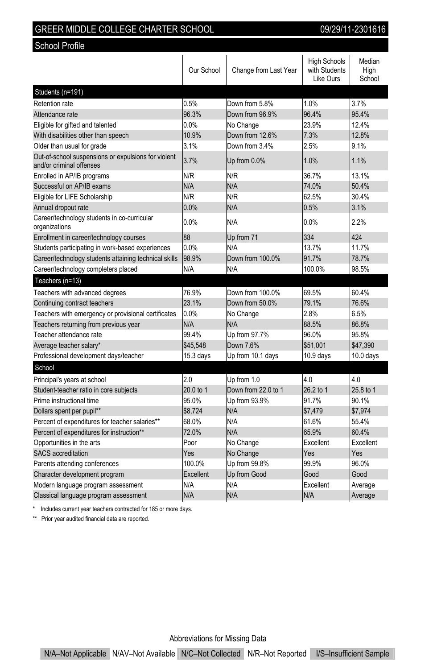| SREER MIDDLE COLLEGE CHARTER SCHOOL |  |
|-------------------------------------|--|
|                                     |  |

School Profile

09/29/11-2301616

|                                                                                 | Our School | Change from Last Year | <b>High Schools</b><br>with Students<br>Like Ours | Median<br>Hiah<br>School |
|---------------------------------------------------------------------------------|------------|-----------------------|---------------------------------------------------|--------------------------|
| Students (n=191)                                                                |            |                       |                                                   |                          |
| Retention rate                                                                  | 0.5%       | Down from 5.8%        | 1.0%                                              | 3.7%                     |
| Attendance rate                                                                 | 96.3%      | Down from 96.9%       | 96.4%                                             | 95.4%                    |
| Eligible for gifted and talented                                                | 0.0%       | No Change             | 23.9%                                             | 12.4%                    |
| With disabilities other than speech                                             | 10.9%      | Down from 12.6%       | 7.3%                                              | 128%                     |
| Older than usual for grade                                                      | 3.1%       | Down from 3.4%        | 2.5%                                              | 9.1%                     |
| Out-of-school suspensions or expulsions for violent<br>and/or criminal offenses | 3.7%       | Up from 0.0%          | 1.0%                                              | 1.1%                     |
| Enrolled in AP/IB programs                                                      | N/R        | N/R                   | 36.7%                                             | 13.1%                    |
| Successful on AP/IB exams                                                       | N/A        | N/A                   | 74.0%                                             | 50.4%                    |
| Eligible for LIFE Scholarship                                                   | N/R        | N/R                   | 62.5%                                             | 30.4%                    |
| Annual dropout rate                                                             | 0.0%       | N/A                   | 0.5%                                              | 3.1%                     |
| Career/technology students in co-curricular<br>organizations                    | 0.0%       | N/A                   | $0.0\%$                                           | 2.2%                     |
| Enrollment in career/technology courses                                         | 88         | Up from 71            | 334                                               | 424                      |
| Students participating in work-based experiences                                | 0.0%       | N/A                   | 13.7%                                             | 11.7%                    |
| Career/technology students attaining technical skills                           | 98.9%      | Down from 100.0%      | 91.7%                                             | 78.7%                    |
| Career/technology completers placed                                             | N/A        | N/A                   | 100.0%                                            | 98.5%                    |
| Teachers (n=13)                                                                 |            |                       |                                                   |                          |
| Teachers with advanced degrees                                                  | 76.9%      | Down from 100.0%      | 69.5%                                             | 60.4%                    |
| Continuing contract teachers                                                    | 23.1%      | Down from 50.0%       | 79.1%                                             | 76.6%                    |
| Teachers with emergency or provisional certificates                             | 0.0%       | No Change             | 2.8%                                              | 6.5%                     |
| Teachers returning from previous year                                           | N/A        | N/A                   | 88.5%                                             | 86.8%                    |
| Teacher attendance rate                                                         | 99.4%      | Up from 97.7%         | 96.0%                                             | 95.8%                    |
| Average teacher salary*                                                         | \$45,548   | Down 7.6%             | \$51.001                                          | \$47.390                 |
| Professional development days/teacher                                           | 15.3 days  | Up from 10.1 days     | 10.9 days                                         | $10.0$ days              |
| School                                                                          |            |                       |                                                   |                          |
| Principal's years at school                                                     | 2.0        | Up from 1.0           | 40                                                | 40                       |
| Student-teacher ratio in core subjects                                          | 20.0 to 1  | Down from 22.0 to 1   | 26.2 to 1                                         | 25.8 to 1                |
| Prime instructional time                                                        | 95.0%      | Up from 93.9%         | 91.7%                                             | 90.1%                    |
| Dollars spent per pupil**                                                       | \$8,724    | N/A                   | \$7,479                                           | \$7,974                  |
| Percent of expenditures for teacher salaries**                                  | 68.0%      | N/A                   | 61.6%                                             | 55.4%                    |
| Percent of expenditures for instruction**                                       | 72.0%      | N/A                   | 65.9%                                             | 60.4%                    |
| Opportunities in the arts                                                       | Poor       | No Change             | Excellent                                         | Excellent                |
| <b>SACS</b> accreditation                                                       | Yes        | No Change             | Yes                                               | Yes                      |
| Parents attending conferences                                                   | 100.0%     | Up from 99.8%         | 99.9%                                             | 96.0%                    |
| Character development program                                                   | Excellent  | Up from Good          | Good                                              | Good                     |
| Modern language program assessment                                              | N/A        | N/A                   | Excellent                                         | Average                  |
| Classical language program assessment                                           | N/A        | N/A                   | N/A                                               | Average                  |

\* Includes current year teachers contracted for 185 or more days.

\*\* Prior year audited financial data are reported.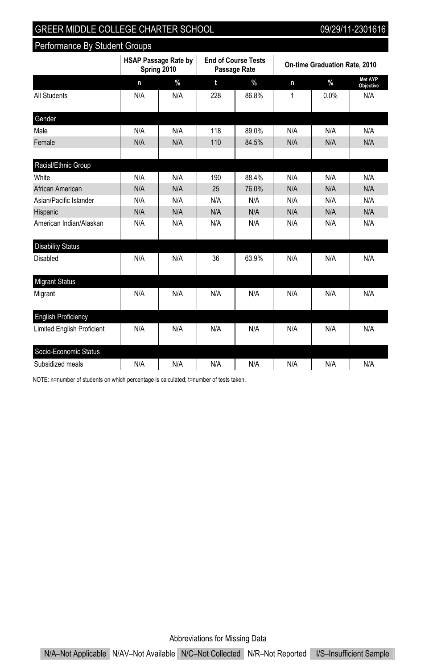Performance By Student Groups

|                                   |     | <b>HSAP Passage Rate by</b><br>Spring 2010 | <b>End of Course Tests</b><br>Passage Rate |               | On-time Graduation Rate, 2010 |      |                      |
|-----------------------------------|-----|--------------------------------------------|--------------------------------------------|---------------|-------------------------------|------|----------------------|
|                                   | n   | $\frac{9}{6}$                              | t                                          | $\frac{9}{6}$ | n                             | $\%$ | Met AYP<br>Objective |
| All Students                      | N/A | N/A                                        | 228                                        | 86.8%         | 1                             | 0.0% | N/A                  |
| Gender                            |     |                                            |                                            |               |                               |      |                      |
| Male                              | N/A | N/A                                        | 118                                        | 89.0%         | N/A                           | N/A  | N/A                  |
| Female                            | N/A | N/A                                        | 110                                        | 84.5%         | N/A                           | N/A  | N/A                  |
| Racial/Ethnic Group               |     |                                            |                                            |               |                               |      |                      |
| White                             | N/A | N/A                                        | 190                                        | 88.4%         | N/A                           | N/A  | N/A                  |
| African American                  | N/A | N/A                                        | 25                                         | 76.0%         | N/A                           | N/A  | N/A                  |
| Asian/Pacific Islander            | N/A | N/A                                        | N/A                                        | N/A           | N/A                           | N/A  | N/A                  |
| Hispanic                          | N/A | N/A                                        | N/A                                        | N/A           | N/A                           | N/A  | N/A                  |
| American Indian/Alaskan           | N/A | N/A                                        | N/A                                        | N/A           | N/A                           | N/A  | N/A                  |
| <b>Disability Status</b>          |     |                                            |                                            |               |                               |      |                      |
| Disabled                          | N/A | N/A                                        | 36                                         | 63.9%         | N/A                           | N/A  | N/A                  |
| <b>Migrant Status</b>             |     |                                            |                                            |               |                               |      |                      |
| Migrant                           | N/A | N/A                                        | N/A                                        | N/A           | N/A                           | N/A  | N/A                  |
| <b>English Proficiency</b>        |     |                                            |                                            |               |                               |      |                      |
| <b>Limited English Proficient</b> | N/A | N/A                                        | N/A                                        | N/A           | N/A                           | N/A  | N/A                  |
| Socio-Economic Status             |     |                                            |                                            |               |                               |      |                      |
| Subsidized meals                  | N/A | N/A                                        | N/A                                        | N/A           | N/A                           | N/A  | N/A                  |

NOTE: n=number of students on which percentage is calculated; t=number of tests taken.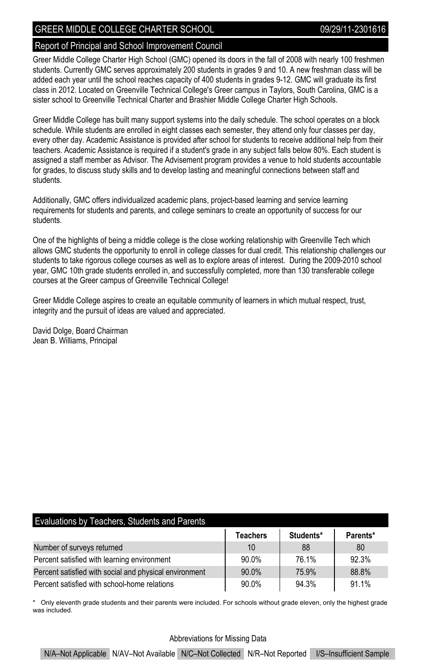#### Report of Principal and School Improvement Council

Greer Middle College Charter High School (GMC) opened its doors in the fall of 2008 with nearly 100 freshmen students. Currently GMC serves approximately 200 students in grades 9 and 10. A new freshman class will be added each year until the school reaches capacity of 400 students in grades 9-12. GMC will graduate its first class in 2012. Located on Greenville Technical College's Greer campus in Taylors, South Carolina, GMC is a sister school to Greenville Technical Charter and Brashier Middle College Charter High Schools.

Greer Middle College has built many support systems into the daily schedule. The school operates on a block schedule. While students are enrolled in eight classes each semester, they attend only four classes per day, every other day. Academic Assistance is provided after school for students to receive additional help from their teachers. Academic Assistance is required if a student's grade in any subject falls below 80%. Each student is assigned a staff member as Advisor. The Advisement program provides a venue to hold students accountable for grades, to discuss study skills and to develop lasting and meaningful connections between staff and students.

Additionally, GMC offers individualized academic plans, project-based learning and service learning requirements for students and parents, and college seminars to create an opportunity of success for our students.

One of the highlights of being a middle college is the close working relationship with Greenville Tech which allows GMC students the opportunity to enroll in college classes for dual credit. This relationship challenges our students to take rigorous college courses as well as to explore areas of interest. During the 2009-2010 school year, GMC 10th grade students enrolled in, and successfully completed, more than 130 transferable college courses at the Greer campus of Greenville Technical College!

Greer Middle College aspires to create an equitable community of learners in which mutual respect, trust, integrity and the pursuit of ideas are valued and appreciated.

David Dolge, Board Chairman Jean B. Williams, Principal

| Evaluations by Teachers, Students and Parents |  |  |  |
|-----------------------------------------------|--|--|--|
|-----------------------------------------------|--|--|--|

|                                                        | <b>Teachers</b> | Students* | Parents* |
|--------------------------------------------------------|-----------------|-----------|----------|
| Number of surveys returned                             | 10              | 88        | 80       |
| Percent satisfied with learning environment            | 90.0%           | 76.1%     | 92.3%    |
| Percent satisfied with social and physical environment | 90.0%           | 75.9%     | 88.8%    |
| Percent satisfied with school-home relations           | $90.0\%$        | 94.3%     | 91.1%    |

\* Only eleventh grade students and their parents were included. For schools without grade eleven, only the highest grade was included.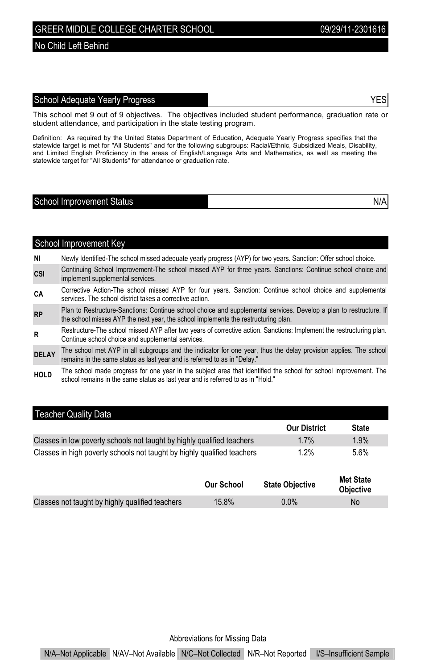#### No Child Left Behind

### School Adequate Yearly Progress **YES**

This school met 9 out of 9 objectives. The objectives included student performance, graduation rate or student attendance, and participation in the state testing program.

Definition: As required by the United States Department of Education, Adequate Yearly Progress specifies that the<br>statewide target is met for "All Students" and for the following subgroups: Racial/Ethnic, Subsidized Meals, and Limited English Proficiency in the areas of English/Language Arts and Mathematics, as well as meeting the statewide target for "All Students" for attendance or graduation rate.

# School Improvement Status N/A

|              | School Improvement Key                                                                                                                                                                                   |
|--------------|----------------------------------------------------------------------------------------------------------------------------------------------------------------------------------------------------------|
| NI           | Newly Identified-The school missed adequate yearly progress (AYP) for two years. Sanction: Offer school choice.                                                                                          |
| <b>CSI</b>   | Continuing School Improvement-The school missed AYP for three years. Sanctions: Continue school choice and<br>implement supplemental services.                                                           |
| СA           | Corrective Action-The school missed AYP for four years. Sanction: Continue school choice and supplemental<br>services. The school district takes a corrective action.                                    |
| <b>RP</b>    | Plan to Restructure-Sanctions: Continue school choice and supplemental services. Develop a plan to restructure. If<br>the school misses AYP the next year, the school implements the restructuring plan. |
| R            | Restructure-The school missed AYP after two years of corrective action. Sanctions: Implement the restructuring plan.<br>Continue school choice and supplemental services.                                |
| <b>DELAY</b> | The school met AYP in all subgroups and the indicator for one year, thus the delay provision applies. The school<br>remains in the same status as last year and is referred to as in "Delay."            |
| <b>HOLD</b>  | The school made progress for one year in the subject area that identified the school for school improvement. The<br>school remains in the same status as last year and is referred to as in "Hold."      |

#### Teacher Quality Data

|                                                                         | <b>Our District</b> | <b>State</b> |
|-------------------------------------------------------------------------|---------------------|--------------|
| Classes in low poverty schools not taught by highly qualified teachers  | $1.7\%$             | 1.9%         |
| Classes in high poverty schools not taught by highly qualified teachers | $1.2\%$             | 5.6%         |

|                                                 | <b>Our School</b> | <b>State Objective</b> | <b>Met State</b><br><b>Objective</b> |
|-------------------------------------------------|-------------------|------------------------|--------------------------------------|
| Classes not taught by highly qualified teachers | 15.8%             | $0.0\%$                | No                                   |

Abbreviations for Missing Data

N/A–Not Applicable N/AV–Not Available N/C–Not Collected N/R–Not Reported I/S–Insufficient Sample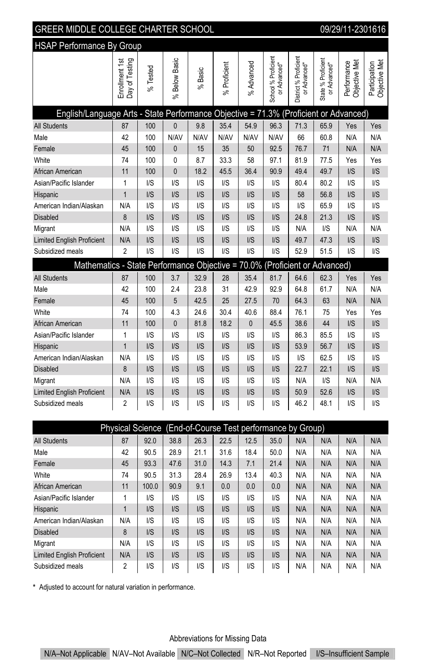| <b>GREER MIDDLE COLLEGE CHARTER SCHOOL</b><br>09/29/11-2301616                       |                                  |                         |                         |                         |                         |                        |                                     |                                       |                                    |                              |                                |
|--------------------------------------------------------------------------------------|----------------------------------|-------------------------|-------------------------|-------------------------|-------------------------|------------------------|-------------------------------------|---------------------------------------|------------------------------------|------------------------------|--------------------------------|
| <b>HSAP Performance By Group</b>                                                     |                                  |                         |                         |                         |                         |                        |                                     |                                       |                                    |                              |                                |
|                                                                                      | Enrollment 1st<br>Day of Testing | % Tested                | % Below Basic           | $%$ Basic               | % Proficient            | % Advanced             | School % Proficient<br>or Advanced* | District % Proficient<br>or Advanced* | State % Proficient<br>or Advanced* | Objective Met<br>Performance | Objective Met<br>Participation |
| English/Language Arts - State Performance Objective = 71.3% (Proficient or Advanced) |                                  |                         |                         |                         |                         |                        |                                     |                                       |                                    |                              |                                |
| <b>All Students</b>                                                                  | 87                               | 100                     | $\mathbf{0}$            | 9.8                     | 35.4                    | 54.9                   | 96.3                                | 71.3                                  | 65.9                               | Yes                          | Yes                            |
| Male                                                                                 | 42                               | 100                     | N/AV                    | N/AV                    | N/AV                    | N/AV                   | N/AV                                | 66                                    | 60.8                               | N/A                          | N/A                            |
| Female                                                                               | 45                               | 100                     | 0                       | 15                      | 35                      | 50                     | 92.5                                | 76.7                                  | 71                                 | N/A                          | N/A                            |
| White                                                                                | 74                               | 100                     | 0                       | 8.7                     | 33.3                    | 58                     | 97.1                                | 81.9                                  | 77.5                               | Yes                          | Yes                            |
| African American                                                                     | 11                               | 100                     | 0                       | 18.2                    | 45.5                    | 36.4                   | 90.9                                | 49.4                                  | 49.7                               | $\mathsf{I} \mathsf{S}$      | I/S                            |
| Asian/Pacific Islander                                                               | 1                                | $\mathsf{I/S}$          | I/S                     | I/S                     | I/S                     | I/S                    | $\mathsf{I/S}$                      | 80.4                                  | 80.2                               | $\mathsf{U}\mathsf{S}$       | I/S                            |
| Hispanic                                                                             | $\overline{1}$                   | $\mathsf{I/S}$          | I/S                     | $\mathsf{I} \mathsf{S}$ | $\mathsf{I} \mathsf{S}$ | I/S                    | $\mathsf{I} \mathsf{S}$             | 58                                    | 56.8                               | $\mathsf{I} \mathsf{S}$      | I/S                            |
| American Indian/Alaskan                                                              | N/A                              | $\mathsf{U}\mathsf{S}$  | $\mathsf{U}\mathsf{S}$  | $\mathsf{U}\mathsf{S}$  | $\mathsf{I/S}$          | $\mathsf{U}\mathsf{S}$ | $\mathsf{U}\mathsf{S}$              | $\mathsf{I/S}$                        | 65.9                               | $\mathsf{U}\mathsf{S}$       | $\mathsf{I} \mathsf{S}$        |
| <b>Disabled</b>                                                                      | 8                                | I/S                     | I/S                     | $\mathsf{I} \mathsf{S}$ | I/S                     | I/S                    | $\mathsf{I} \mathsf{S}$             | 24.8                                  | 21.3                               | $\mathsf{I} \mathsf{S}$      | I/S                            |
| Migrant                                                                              | N/A                              | $\mathsf{U}\mathsf{S}$  | $\mathsf{U}\mathsf{S}$  | $\mathsf{I/S}$          | $\mathsf{I/S}$          | $\mathsf{U}\mathsf{S}$ | $\mathsf{U}\mathsf{S}$              | N/A                                   | $\mathsf{I} \mathsf{S}$            | N/A                          | N/A                            |
| <b>Limited English Proficient</b>                                                    | N/A                              | $\mathsf{I} \mathsf{S}$ | I/S                     | I/S                     | $\mathsf{I/S}$          | I/S                    | $\mathsf{I} \mathsf{S}$             | 49.7                                  | 47.3                               | $\mathsf{I} \mathsf{S}$      | I/S                            |
| Subsidized meals                                                                     | 2                                | $\mathsf{I/S}$          | I/S                     | I/S                     | $\mathsf{I/S}$          | I/S                    | $\mathsf{I/S}$                      | 52.9                                  | 51.5                               | $\mathsf{U}\mathsf{S}$       | $\mathsf{I} \mathsf{S}$        |
| Mathematics - State Performance Objective = 70.0% (Proficient or Advanced)           |                                  |                         |                         |                         |                         |                        |                                     |                                       |                                    |                              |                                |
| All Students                                                                         | 87                               | 100                     | 3.7                     | 32.9                    | 28                      | 35.4                   | 81.7                                | 64.6                                  | 62.3                               | Yes                          | Yes                            |
| Male                                                                                 | 42                               | 100                     | 2.4                     | 23.8                    | 31                      | 42.9                   | 92.9                                | 64.8                                  | 61.7                               | N/A                          | N/A                            |
| Female                                                                               | 45                               | 100                     | 5                       | 42.5                    | 25                      | 27.5                   | 70                                  | 64.3                                  | 63                                 | N/A                          | N/A                            |
| White                                                                                | 74                               | 100                     | 4.3                     | 24.6                    | 30.4                    | 40.6                   | 88.4                                | 76.1                                  | 75                                 | Yes                          | Yes                            |
| African American                                                                     | 11                               | 100                     | 0                       | 81.8                    | 18.2                    | 0                      | 45.5                                | 38.6                                  | 44                                 | $\mathsf{I} \mathsf{S}$      | I/S                            |
| Asian/Pacific Islander                                                               | 1                                | $\mathsf{U}\mathsf{S}$  | I/S                     | $\mathsf{U}\mathsf{S}$  | $\mathsf{I/S}$          | I/S                    | $\mathsf{I/S}$                      | 86.3                                  | 85.5                               | $\mathsf{U}\mathsf{S}$       | $\mathsf{I} \mathsf{S}$        |
| Hispanic                                                                             | $\overline{1}$                   | $\mathsf{I} \mathsf{S}$ | I/S                     | $\mathsf{I} \mathsf{S}$ | $\mathsf{I} \mathsf{S}$ | I/S                    | $\mathsf{I} \mathsf{S}$             | 53.9                                  | 56.7                               | $\mathsf{I} \mathsf{S}$      | I/S                            |
| American Indian/Alaskan                                                              | N/A                              | I/S                     | I/S                     | I/S                     | $\mathsf{I/S}$          | I/S                    | $\mathsf{I} \mathsf{S}$             | I/S                                   | 62.5                               | $\mathsf{I/S}$               | I/S                            |
| <b>Disabled</b>                                                                      | 8                                | $\mathsf{I} \mathsf{S}$ | $\mathsf{I/S}$          | $\mathsf{I} \mathsf{S}$ | $\mathsf{I/S}$          | $\mathsf{I/S}$         | $\mathsf{I} \mathsf{S}$             | 22.7                                  | 22.1                               | $\mathsf{I} \mathsf{S}$      | I/S                            |
| Migrant                                                                              | N/A                              | $\mathsf{U}\mathsf{S}$  | I/S                     | $\mathsf{I} \mathsf{S}$ | $\mathsf{I} \mathsf{S}$ | I/S                    | $\mathsf{I} \mathsf{S}$             | N/A                                   | $\mathsf{I} \mathsf{S}$            | N/A                          | N/A                            |
| <b>Limited English Proficient</b>                                                    | N/A                              | $\mathsf{I} \mathsf{S}$ | $\mathsf{I} \mathsf{S}$ | $\mathsf{I} \mathsf{S}$ | $\mathsf{I/S}$          | I/S                    | $\mathsf{I} \mathsf{S}$             | 50.9                                  | 52.6                               | $\mathsf{I} \mathsf{S}$      | $\mathsf{I} \mathsf{S}$        |
| Subsidized meals                                                                     | 2                                | $\mathsf{U}\mathsf{S}$  | $\mathsf{U}\mathsf{S}$  | $\mathsf{I/S}$          | $\mathsf{I/S}$          | $\mathsf{U}\mathsf{S}$ | $\mathsf{I/S}$                      | 46.2                                  | 48.1                               | $\mathsf{U}\mathsf{S}$       | $\mathsf{I/S}$                 |

| Physical Science (End-of-Course Test performance by Group) |                |                         |                         |                |                         |                |                |     |     |     |     |
|------------------------------------------------------------|----------------|-------------------------|-------------------------|----------------|-------------------------|----------------|----------------|-----|-----|-----|-----|
| <b>All Students</b>                                        | 87             | 92.0                    | 38.8                    | 26.3           | 22.5                    | 12.5           | 35.0           | N/A | N/A | N/A | N/A |
| Male                                                       | 42             | 90.5                    | 28.9                    | 21.1           | 31.6                    | 18.4           | 50.0           | N/A | N/A | N/A | N/A |
| Female                                                     | 45             | 93.3                    | 47.6                    | 31.0           | 14.3                    | 7.1            | 21.4           | N/A | N/A | N/A | N/A |
| White                                                      | 74             | 90.5                    | 31.3                    | 28.4           | 26.9                    | 13.4           | 40.3           | N/A | N/A | N/A | N/A |
| African American                                           | 11             | 100.0                   | 90.9                    | 9.1            | 0.0                     | 0.0            | 0.0            | N/A | N/A | N/A | N/A |
| Asian/Pacific Islander                                     |                | I/S                     | $\mathsf{I/S}$          | I/S            | I/S                     | $\mathsf{I/S}$ | $\mathsf{I/S}$ | N/A | N/A | N/A | N/A |
| Hispanic                                                   |                | $\mathsf{I} \mathsf{S}$ | $\mathsf{I} \mathsf{S}$ | $\mathsf{I/S}$ | $\mathsf{I} \mathsf{S}$ | $\mathsf{I/S}$ | $\mathsf{I/S}$ | N/A | N/A | N/A | N/A |
| American Indian/Alaskan                                    | N/A            | $\mathsf{I} \mathsf{S}$ | $\mathsf{I/S}$          | I/S            | I/S                     | $\mathsf{I/S}$ | $\mathsf{I/S}$ | N/A | N/A | N/A | N/A |
| <b>Disabled</b>                                            | 8              | $\mathsf{I/S}$          | $\mathsf{I} \mathsf{S}$ | $\mathsf{I/S}$ | $\mathsf{I} \mathsf{S}$ | $\mathsf{I/S}$ | $\mathsf{I/S}$ | N/A | N/A | N/A | N/A |
| Migrant                                                    | N/A            | $\mathsf{I} \mathsf{S}$ | $\mathsf{I} \mathsf{S}$ | I/S            | I/S                     | $\mathsf{I/S}$ | $\mathsf{I/S}$ | N/A | N/A | N/A | N/A |
| <b>Limited English Proficient</b>                          | N/A            | $\mathsf{I} \mathsf{S}$ | $\mathsf{I} \mathsf{S}$ | $\mathsf{I/S}$ | $\mathsf{I} \mathsf{S}$ | $\mathsf{I/S}$ | $\mathsf{I/S}$ | N/A | N/A | N/A | N/A |
| Subsidized meals                                           | $\overline{2}$ | $\mathsf{I/S}$          | $\mathsf{I/S}$          | I/S            | I/S                     | $\mathsf{I/S}$ | $\mathsf{I/S}$ | N/A | N/A | N/A | N/A |

\* Adjusted to account for natural variation in performance.

## Abbreviations for Missing Data

N/A–Not Applicable N/AV–Not Available N/C–Not Collected N/R–Not Reported I/S–Insufficient Sample